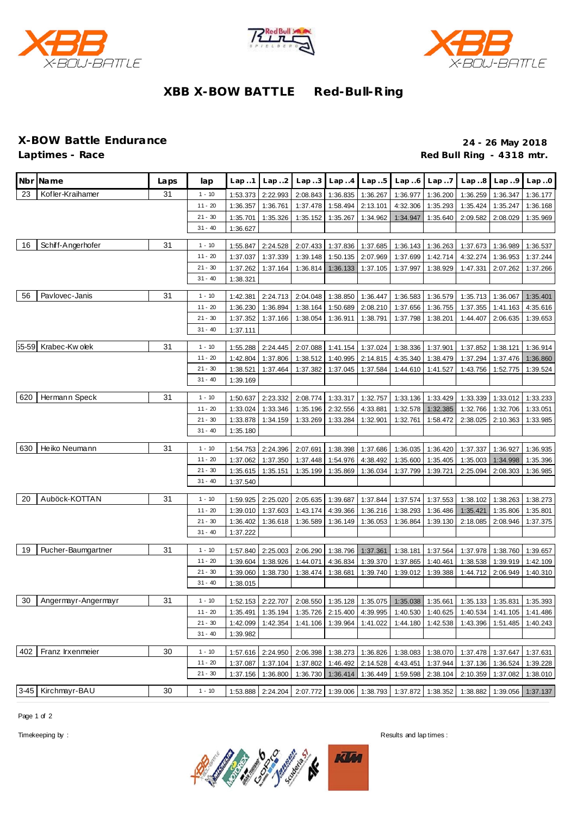





## **XBB X-BOW BATTLE Red-Bull-R ing**

**X-BOW Battle Endurance 24 - 26 May 2018** Red Bull Ring - 4318 mtr.

|        | Nbr Name            | Laps | lap       | Lap.1    | Lap.2    | Lap.3    | Lap.4                      | Lap.5    | Lap.6    | Lap.7             | Lap.8                                                                                     | Lap.9             | Lap.0    |
|--------|---------------------|------|-----------|----------|----------|----------|----------------------------|----------|----------|-------------------|-------------------------------------------------------------------------------------------|-------------------|----------|
| 23     | Kofler-Kraihamer    | 31   | $1 - 10$  | 1:53.373 | 2:22.993 | 2:08.843 | 1:36.835                   | 1:36.267 | 1:36.977 | 1:36.200          | 1:36.259                                                                                  | 1:36.347          | 1:36.177 |
|        |                     |      | $11 - 20$ | 1:36.357 | 1:36.761 | 1:37.478 | 1:58.494                   | 2:13.101 | 4:32.306 | 1:35.293          | 1:35.424                                                                                  | 1:35.247          | 1:36.168 |
|        |                     |      | $21 - 30$ | 1:35.701 | 1:35.326 | 1:35.152 | 1:35.267                   | 1:34.962 | 1:34.947 | 1:35.640          | 2:09.582                                                                                  | 2:08.029          | 1:35.969 |
|        |                     |      | $31 - 40$ | 1:36.627 |          |          |                            |          |          |                   |                                                                                           |                   |          |
|        |                     |      |           |          |          |          |                            |          |          |                   |                                                                                           |                   |          |
| 16     | Schiff-Angerhofer   | 31   | $1 - 10$  | 1:55.847 | 2:24.528 | 2:07.433 | 1:37.836                   | 1:37.685 | 1:36.143 | 1:36.263          | 1:37.673                                                                                  | 1:36.989          | 1:36.537 |
|        |                     |      | $11 - 20$ | 1:37.037 | 1:37.339 | 1:39.148 | 1:50.135                   | 2:07.969 | 1:37.699 | 1:42.714          | 4:32.274                                                                                  | 1:36.953          | 1:37.244 |
|        |                     |      | $21 - 30$ | 1:37.262 | 1:37.164 | 1:36.814 | 1:36.133                   | 1:37.105 | 1:37.997 | 1:38.929          | 1:47.331                                                                                  | 2:07.262          | 1:37.266 |
|        |                     |      | $31 - 40$ | 1:38.321 |          |          |                            |          |          |                   |                                                                                           |                   |          |
| 56     | Pavlovec-Janis      | 31   | $1 - 10$  | 1:42.381 | 2:24.713 | 2:04.048 | 1:38.850                   | 1:36.447 | 1:36.583 | 1:36.579          | 1:35.713                                                                                  | 1:36.067          | 1:35.401 |
|        |                     |      | $11 - 20$ | 1:36.230 | 1:36.894 | 1:38.164 | 1:50.689                   | 2:08.210 | 1:37.656 | 1:36.755          | 1:37.355                                                                                  | 1:41.163          | 4:35.616 |
|        |                     |      | $21 - 30$ | 1:37.352 | 1:37.166 | 1:38.054 | 1:36.911                   | 1:38.791 | 1:37.798 | 1:38.201          | 1:44.407                                                                                  | 2:06.635          | 1:39.653 |
|        |                     |      | $31 - 40$ | 1:37.111 |          |          |                            |          |          |                   |                                                                                           |                   |          |
|        |                     |      |           |          |          |          |                            |          |          |                   |                                                                                           |                   |          |
| 55-59  | Krabec-Kw olek      | 31   | $1 - 10$  | 1:55.288 | 2:24.445 | 2:07.088 | 1:41.154                   | 1:37.024 | 1:38.336 | 1:37.901          | 1:37.852                                                                                  | 1:38.121          | 1:36.914 |
|        |                     |      | $11 - 20$ | 1:42.804 | 1:37.806 | 1:38.512 | 1:40.995                   | 2:14.815 | 4:35.340 | 1:38.479          | 1:37.294                                                                                  | 1:37.476          | 1:36.860 |
|        |                     |      | $21 - 30$ | 1:38.521 | 1:37.464 | 1:37.382 | 1:37.045                   | 1:37.584 | 1:44.610 | 1:41.527          | 1:43.756                                                                                  | 1:52.775          | 1:39.524 |
|        |                     |      | $31 - 40$ | 1:39.169 |          |          |                            |          |          |                   |                                                                                           |                   |          |
| 620    | Hermann Speck       | 31   | $1 - 10$  | 1:50.637 | 2:23.332 | 2:08.774 | 1:33.317                   | 1:32.757 |          | 1:33.136 1:33.429 | 1:33.339                                                                                  | 1:33.012          | 1:33.233 |
|        |                     |      | $11 - 20$ | 1:33.024 | 1:33.346 | 1:35.196 | 2:32.556                   | 4:33.881 | 1:32.578 | 1:32.385          | 1:32.766                                                                                  | 1:32.706          | 1:33.051 |
|        |                     |      | $21 - 30$ | 1:33.878 | 1:34.159 | 1:33.269 | 1:33.284                   | 1:32.901 | 1:32.761 | 1:58.472          | 2:38.025                                                                                  | 2:10.363          | 1:33.985 |
|        |                     |      | $31 - 40$ | 1:35.180 |          |          |                            |          |          |                   |                                                                                           |                   |          |
| 630    | Heiko Neumann       | 31   | $1 - 10$  | 1:54.753 | 2:24.396 | 2:07.691 | 1:38.398                   | 1:37.686 | 1:36.035 | 1:36.420          | 1:37.337                                                                                  | 1:36.927          | 1:36.935 |
|        |                     |      | $11 - 20$ | 1:37.062 | 1:37.350 | 1:37.448 | 1:54.976                   | 4:38.492 | 1:35.600 | 1:35.405          | 1:35.003                                                                                  | 1:34.998          | 1:35.396 |
|        |                     |      | $21 - 30$ | 1:35.615 | 1:35.151 | 1:35.199 | 1:35.869                   | 1:36.034 | 1:37.799 | 1:39.721          | 2:25.094                                                                                  | 2:08.303          | 1:36.985 |
|        |                     |      | $31 - 40$ | 1:37.540 |          |          |                            |          |          |                   |                                                                                           |                   |          |
|        |                     |      |           |          |          |          |                            |          |          |                   |                                                                                           |                   |          |
| 20     | Auböck-KOTTAN       | 31   | $1 - 10$  | 1:59.925 | 2:25.020 | 2:05.635 | 1:39.687                   | 1:37.844 | 1:37.574 | 1:37.553          | 1:38.102                                                                                  | 1:38.263          | 1:38.273 |
|        |                     |      | $11 - 20$ | 1:39.010 | 1:37.603 | 1:43.174 | 4:39.366                   | 1:36.216 | 1:38.293 | 1:36.486          | 1:35.421                                                                                  | 1:35.806          | 1:35.801 |
|        |                     |      | $21 - 30$ | 1:36.402 | 1:36.618 | 1:36.589 | 1:36.149                   | 1:36.053 | 1:36.864 | 1:39.130          | 2:18.085                                                                                  | 2:08.946          | 1:37.375 |
|        |                     |      | $31 - 40$ | 1:37.222 |          |          |                            |          |          |                   |                                                                                           |                   |          |
| 19     | Pucher-Baumgartner  | 31   | $1 - 10$  | 1:57.840 | 2:25.003 | 2:06.290 | 1:38.796                   | 1:37.361 | 1:38.181 | 1:37.564          | 1:37.978                                                                                  | 1:38.760          | 1:39.657 |
|        |                     |      | $11 - 20$ | 1:39.604 | 1:38.926 | 1:44.071 | 4:36.834                   | 1:39.370 | 1:37.865 | 1:40.461          | 1:38.538                                                                                  | 1:39.919          | 1:42.109 |
|        |                     |      | $21 - 30$ | 1:39.060 | 1:38.730 | 1:38.474 | 1:38.681                   | 1:39.740 | 1:39.012 | 1:39.388          | 1:44.712                                                                                  | 2:06.949          | 1:40.310 |
|        |                     |      | $31 - 40$ | 1:38.015 |          |          |                            |          |          |                   |                                                                                           |                   |          |
|        |                     |      |           |          |          |          |                            |          |          |                   |                                                                                           |                   |          |
| 30     | Angermayr-Angermayr | 31   | $1 - 10$  |          |          |          |                            |          |          |                   | 1:52.153 2:22.707 2:08.550 1:35.128 1:35.075 1:35.038 1:35.661 1:35.133 1:35.831 1:35.393 |                   |          |
|        |                     |      | $11 - 20$ | 1:35.491 | 1:35.194 |          | 1:35.726 2:15.400 4:39.995 |          |          | 1:40.530 1:40.625 |                                                                                           | 1:40.534 1:41.105 | 1:41.486 |
|        |                     |      | $21 - 30$ | 1:42.099 | 1:42.354 | 1:41.106 | 1:39.964                   | 1:41.022 | 1:44.180 | 1:42.538          | 1:43.396                                                                                  | 1:51.485          | 1:40.243 |
|        |                     |      | $31 - 40$ | 1:39.982 |          |          |                            |          |          |                   |                                                                                           |                   |          |
| 402    | Franz Irxenmeier    | 30   | $1 - 10$  | 1:57.616 | 2:24.950 | 2:06.398 | 1:38.273                   | 1:36.826 | 1:38.083 | 1:38.070          |                                                                                           | 1:37.478 1:37.647 | 1:37.631 |
|        |                     |      | $11 - 20$ | 1:37.087 | 1:37.104 | 1:37.802 | 1:46.492 2:14.528          |          | 4:43.451 | 1:37.944          |                                                                                           | 1:37.136 1:36.524 | 1:39.228 |
|        |                     |      | $21 - 30$ | 1:37.156 | 1:36.800 |          | 1:36.730 1:36.414 1:36.449 |          |          | 1:59.598 2:38.104 |                                                                                           | 2:10.359 1:37.082 | 1:38.010 |
| $3-45$ | Kirchmayr-BAU       | 30   | $1 - 10$  |          |          |          |                            |          |          |                   |                                                                                           |                   |          |
|        |                     |      |           | 1:53.888 | 2:24.204 | 2:07.772 | 1:39.006                   | 1:38.793 |          | 1:37.872 1:38.352 | 1:38.882                                                                                  | 1:39.056          | 1:37.137 |

Page 1 of 2



Timekeeping by : Results and lap times :